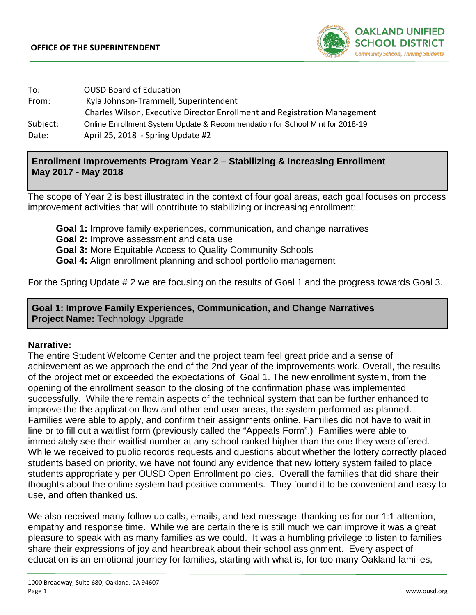

| To:      | <b>OUSD Board of Education</b>                                               |
|----------|------------------------------------------------------------------------------|
| From:    | Kyla Johnson-Trammell, Superintendent                                        |
|          | Charles Wilson, Executive Director Enrollment and Registration Management    |
| Subject: | Online Enrollment System Update & Recommendation for School Mint for 2018-19 |
| Date:    | April 25, 2018 - Spring Update #2                                            |

## **Enrollment Improvements Program Year 2 – Stabilizing & Increasing Enrollment May 2017 - May 2018**

The scope of Year 2 is best illustrated in the context of four goal areas, each goal focuses on process improvement activities that will contribute to stabilizing or increasing enrollment:

**Goal 1:** Improve family experiences, communication, and change narratives **Goal 2:** Improve assessment and data use **Goal 3:** More Equitable Access to Quality Community Schools **Goal 4:** Align enrollment planning and school portfolio management

For the Spring Update # 2 we are focusing on the results of Goal 1 and the progress towards Goal 3.

## **Goal 1: Improve Family Experiences, Communication, and Change Narratives Project Name: Technology Upgrade**

## **Narrative:**

The entire Student Welcome Center and the project team feel great pride and a sense of achievement as we approach the end of the 2nd year of the improvements work. Overall, the results of the project met or exceeded the expectations of Goal 1. The new enrollment system, from the opening of the enrollment season to the closing of the confirmation phase was implemented successfully. While there remain aspects of the technical system that can be further enhanced to improve the the application flow and other end user areas, the system performed as planned. Families were able to apply, and confirm their assignments online. Families did not have to wait in line or to fill out a waitlist form (previously called the "Appeals Form".) Families were able to immediately see their waitlist number at any school ranked higher than the one they were offered. While we received to public records requests and questions about whether the lottery correctly placed students based on priority, we have not found any evidence that new lottery system failed to place students appropriately per OUSD Open Enrollment policies. Overall the families that did share their thoughts about the online system had positive comments. They found it to be convenient and easy to use, and often thanked us.

We also received many follow up calls, emails, and text message thanking us for our 1:1 attention, empathy and response time. While we are certain there is still much we can improve it was a great pleasure to speak with as many families as we could. It was a humbling privilege to listen to families share their expressions of joy and heartbreak about their school assignment. Every aspect of education is an emotional journey for families, starting with what is, for too many Oakland families,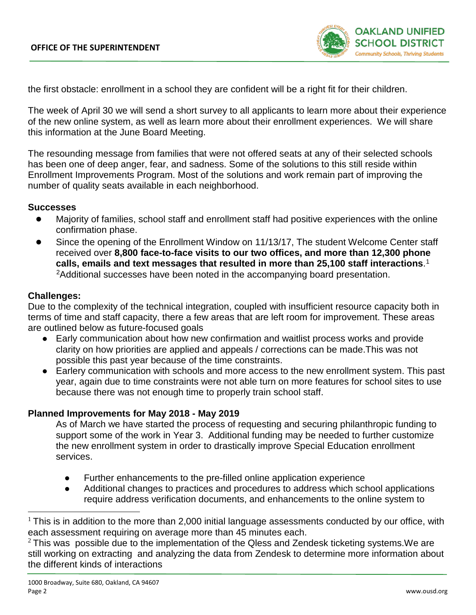

the first obstacle: enrollment in a school they are confident will be a right fit for their children.

The week of April 30 we will send a short survey to all applicants to learn more about their experience of the new online system, as well as learn more about their enrollment experiences. We will share this information at the June Board Meeting.

The resounding message from families that were not offered seats at any of their selected schools has been one of deep anger, fear, and sadness. Some of the solutions to this still reside within Enrollment Improvements Program. Most of the solutions and work remain part of improving the number of quality seats available in each neighborhood.

#### **Successes**

- Majority of families, school staff and enrollment staff had positive experiences with the online confirmation phase.
- Since the opening of the Enrollment Window on 11/13/17, The student Welcome Center staff received over **8,800 face-to-face visits to our two offices, and more than 12,300 phone calls, emails and text messages that resulted in more than 25,100 staff interactions**. [1](#page-1-0) [2A](#page-1-1)dditional successes have been noted in the accompanying board presentation.

#### **Challenges:**

Due to the complexity of the technical integration, coupled with insufficient resource capacity both in terms of time and staff capacity, there a few areas that are left room for improvement. These areas are outlined below as future-focused goals

- Early communication about how new confirmation and waitlist process works and provide clarity on how priorities are applied and appeals / corrections can be made.This was not possible this past year because of the time constraints.
- Earlery communication with schools and more access to the new enrollment system. This past year, again due to time constraints were not able turn on more features for school sites to use because there was not enough time to properly train school staff.

#### **Planned Improvements for May 2018 - May 2019**

As of March we have started the process of requesting and securing philanthropic funding to support some of the work in Year 3. Additional funding may be needed to further customize the new enrollment system in order to drastically improve Special Education enrollment services.

- Further enhancements to the pre-filled online application experience
- Additional changes to practices and procedures to address which school applications require address verification documents, and enhancements to the online system to

<span id="page-1-1"></span> $2$  This was possible due to the implementation of the Qless and Zendesk ticketing systems. We are still working on extracting and analyzing the data from Zendesk to determine more information about the different kinds of interactions

<span id="page-1-0"></span> $1$  This is in addition to the more than 2,000 initial language assessments conducted by our office, with each assessment requiring on average more than 45 minutes each.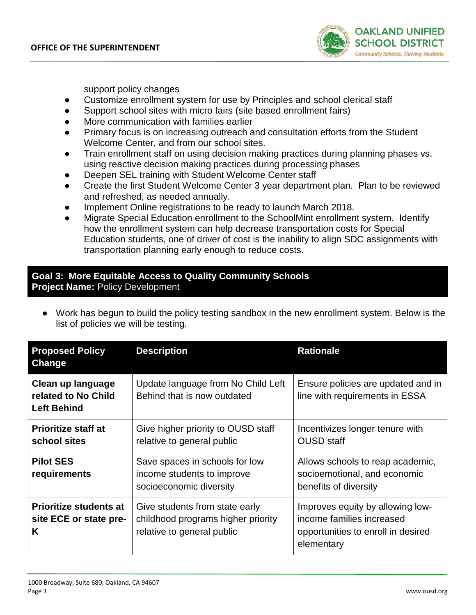

support policy changes

- Customize enrollment system for use by Principles and school clerical staff
- Support school sites with micro fairs (site based enrollment fairs)
- More communication with families earlier
- Primary focus is on increasing outreach and consultation efforts from the Student Welcome Center, and from our school sites.
- Train enrollment staff on using decision making practices during planning phases vs. using reactive decision making practices during processing phases
- Deepen SEL training with Student Welcome Center staff
- Create the first Student Welcome Center 3 year department plan. Plan to be reviewed and refreshed, as needed annually.
- Implement Online registrations to be ready to launch March 2018.
- Migrate Special Education enrollment to the SchoolMint enrollment system. Identify how the enrollment system can help decrease transportation costs for Special Education students, one of driver of cost is the inability to align SDC assignments with transportation planning early enough to reduce costs.

## **Goal 3: More Equitable Access to Quality Community Schools Project Name:** Policy Development

Work has begun to build the policy testing sandbox in the new enrollment system. Below is the list of policies we will be testing.

| <b>Proposed Policy</b><br>Change                               | <b>Description</b>                                                                                 | <b>Rationale</b>                                                                                                  |
|----------------------------------------------------------------|----------------------------------------------------------------------------------------------------|-------------------------------------------------------------------------------------------------------------------|
| Clean up language<br>related to No Child<br><b>Left Behind</b> | Update language from No Child Left<br>Behind that is now outdated                                  | Ensure policies are updated and in<br>line with requirements in ESSA                                              |
| <b>Prioritize staff at</b><br>school sites                     | Give higher priority to OUSD staff<br>relative to general public                                   | Incentivizes longer tenure with<br><b>OUSD</b> staff                                                              |
| <b>Pilot SES</b><br>requirements                               | Save spaces in schools for low<br>income students to improve<br>socioeconomic diversity            | Allows schools to reap academic,<br>socioemotional, and economic<br>benefits of diversity                         |
| <b>Prioritize students at</b><br>site ECE or state pre-<br>K   | Give students from state early<br>childhood programs higher priority<br>relative to general public | Improves equity by allowing low-<br>income families increased<br>opportunities to enroll in desired<br>elementary |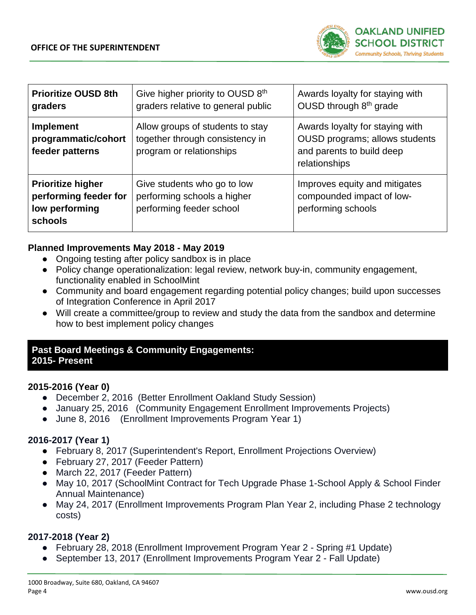

| <b>Prioritize OUSD 8th</b><br>graders                                                 | Give higher priority to OUSD 8th<br>graders relative to general public                          | Awards loyalty for staying with<br>OUSD through 8 <sup>th</sup> grade                                                  |
|---------------------------------------------------------------------------------------|-------------------------------------------------------------------------------------------------|------------------------------------------------------------------------------------------------------------------------|
| <b>Implement</b><br>programmatic/cohort<br>feeder patterns                            | Allow groups of students to stay<br>together through consistency in<br>program or relationships | Awards loyalty for staying with<br><b>OUSD</b> programs; allows students<br>and parents to build deep<br>relationships |
| <b>Prioritize higher</b><br>performing feeder for<br>low performing<br><b>schools</b> | Give students who go to low<br>performing schools a higher<br>performing feeder school          | Improves equity and mitigates<br>compounded impact of low-<br>performing schools                                       |

## **Planned Improvements May 2018 - May 2019**

- Ongoing testing after policy sandbox is in place
- Policy change operationalization: legal review, network buy-in, community engagement, functionality enabled in SchoolMint
- Community and board engagement regarding potential policy changes; build upon successes of Integration Conference in April 2017
- Will create a committee/group to review and study the data from the sandbox and determine how to best implement policy changes

### **Past Board Meetings & Community Engagements: 2015- Present**

## **2015-2016 (Year 0)**

- December 2, 2016 (Better Enrollment Oakland Study Session)
- January 25, 2016 (Community Engagement Enrollment Improvements Projects)
- June 8, 2016 (Enrollment Improvements Program Year 1)

# **2016-2017 (Year 1)**

- February 8, 2017 (Superintendent's Report, Enrollment Projections Overview)
- February 27, 2017 (Feeder Pattern)
- March 22, 2017 (Feeder Pattern)
- May 10, 2017 (SchoolMint Contract for Tech Upgrade Phase 1-School Apply & School Finder Annual Maintenance)
- May 24, 2017 (Enrollment Improvements Program Plan Year 2, including Phase 2 technology costs)

# **2017-2018 (Year 2)**

- February 28, 2018 (Enrollment Improvement Program Year 2 Spring #1 Update)
- September 13, 2017 (Enrollment Improvements Program Year 2 Fall Update)